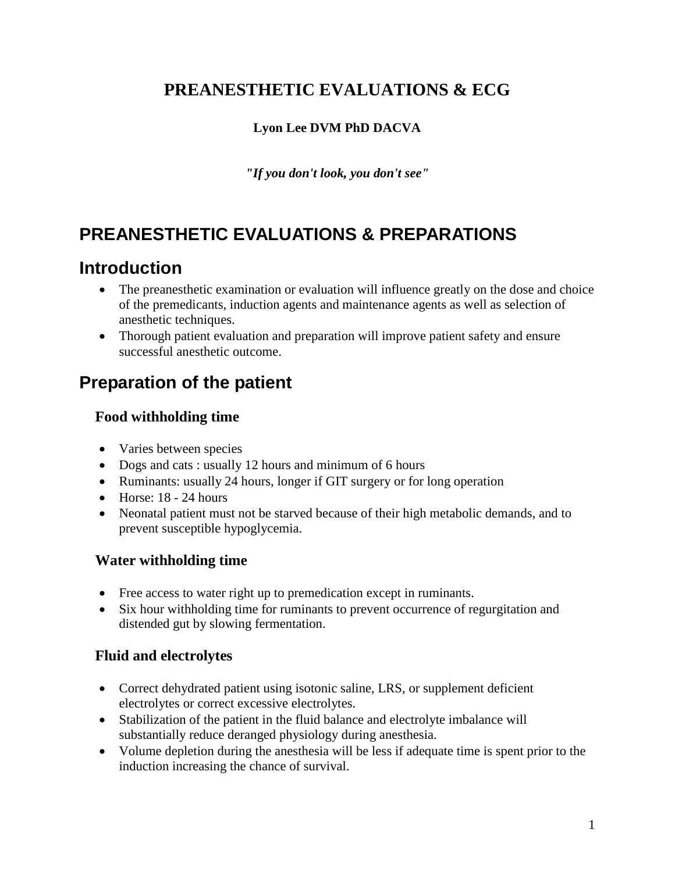# **PREANESTHETIC EVALUATIONS & ECG**

## **Lyon Lee DVM PhD DACVA**

*"If you don't look, you don't see"*

# **PREANESTHETIC EVALUATIONS & PREPARATIONS**

# **Introduction**

- The preanesthetic examination or evaluation will influence greatly on the dose and choice of the premedicants, induction agents and maintenance agents as well as selection of anesthetic techniques.
- Thorough patient evaluation and preparation will improve patient safety and ensure successful anesthetic outcome.

# **Preparation of the patient**

## **Food withholding time**

- Varies between species
- Dogs and cats : usually 12 hours and minimum of 6 hours
- Ruminants: usually 24 hours, longer if GIT surgery or for long operation
- $\bullet$  Horse: 18 24 hours
- Neonatal patient must not be starved because of their high metabolic demands, and to prevent susceptible hypoglycemia.

## **Water withholding time**

- Free access to water right up to premedication except in ruminants.
- Six hour withholding time for ruminants to prevent occurrence of regurgitation and distended gut by slowing fermentation.

## **Fluid and electrolytes**

- Correct dehydrated patient using isotonic saline, LRS, or supplement deficient electrolytes or correct excessive electrolytes.
- Stabilization of the patient in the fluid balance and electrolyte imbalance will substantially reduce deranged physiology during anesthesia.
- Volume depletion during the anesthesia will be less if adequate time is spent prior to the induction increasing the chance of survival.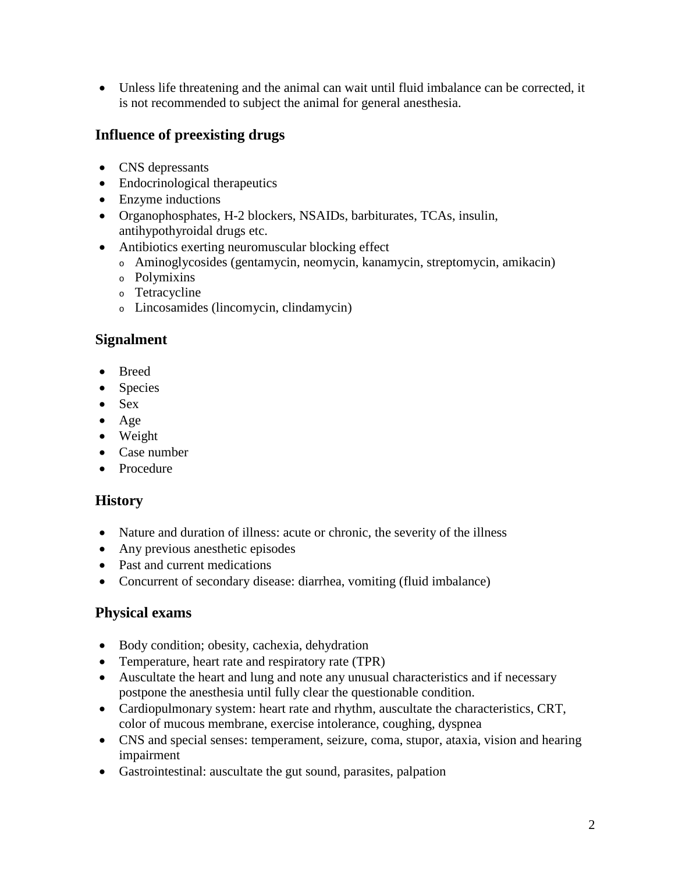• Unless life threatening and the animal can wait until fluid imbalance can be corrected, it is not recommended to subject the animal for general anesthesia.

## **Influence of preexisting drugs**

- CNS depressants
- Endocrinological therapeutics
- Enzyme inductions
- Organophosphates, H-2 blockers, NSAIDs, barbiturates, TCAs, insulin, antihypothyroidal drugs etc.
- Antibiotics exerting neuromuscular blocking effect
	- <sup>o</sup> Aminoglycosides (gentamycin, neomycin, kanamycin, streptomycin, amikacin)
	- <sup>o</sup> Polymixins
	- <sup>o</sup> Tetracycline
	- <sup>o</sup> Lincosamides (lincomycin, clindamycin)

#### **Signalment**

- Breed
- Species
- Sex
- Age
- Weight
- Case number
- Procedure

#### **History**

- Nature and duration of illness: acute or chronic, the severity of the illness
- Any previous anesthetic episodes
- Past and current medications
- Concurrent of secondary disease: diarrhea, vomiting (fluid imbalance)

#### **Physical exams**

- Body condition; obesity, cachexia, dehydration
- Temperature, heart rate and respiratory rate (TPR)
- Auscultate the heart and lung and note any unusual characteristics and if necessary postpone the anesthesia until fully clear the questionable condition.
- Cardiopulmonary system: heart rate and rhythm, auscultate the characteristics, CRT, color of mucous membrane, exercise intolerance, coughing, dyspnea
- CNS and special senses: temperament, seizure, coma, stupor, ataxia, vision and hearing impairment
- Gastrointestinal: auscultate the gut sound, parasites, palpation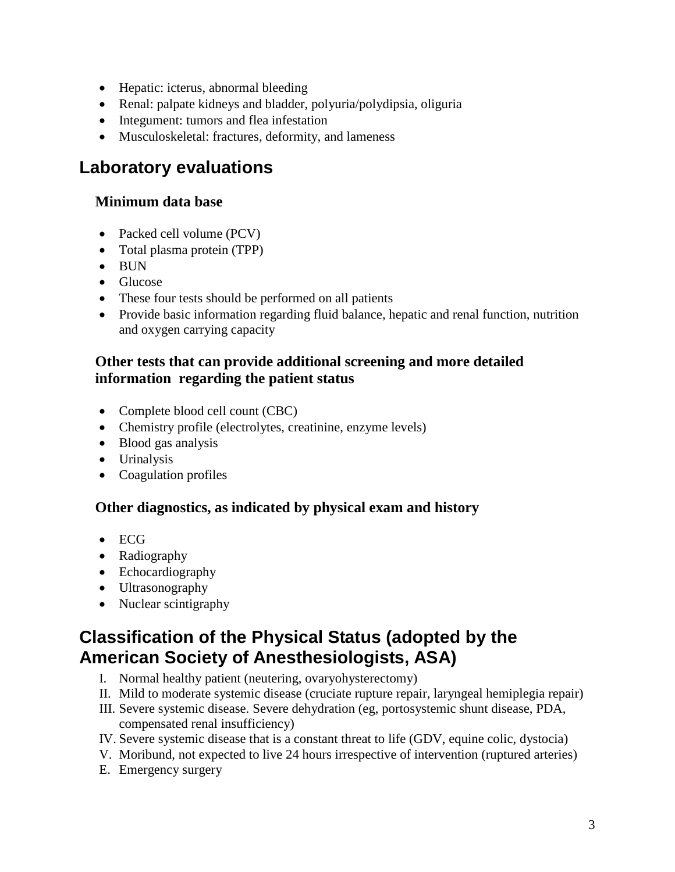- Hepatic: icterus, abnormal bleeding
- Renal: palpate kidneys and bladder, polyuria/polydipsia, oliguria
- Integument: tumors and flea infestation
- Musculoskeletal: fractures, deformity, and lameness

## **Laboratory evaluations**

#### **Minimum data base**

- Packed cell volume (PCV)
- Total plasma protein (TPP)
- BUN
- Glucose
- These four tests should be performed on all patients
- Provide basic information regarding fluid balance, hepatic and renal function, nutrition and oxygen carrying capacity

### **Other tests that can provide additional screening and more detailed information regarding the patient status**

- Complete blood cell count (CBC)
- Chemistry profile (electrolytes, creatinine, enzyme levels)
- Blood gas analysis
- Urinalysis
- Coagulation profiles

## **Other diagnostics, as indicated by physical exam and history**

- ECG
- Radiography
- Echocardiography
- Ultrasonography
- Nuclear scintigraphy

# **Classification of the Physical Status (adopted by the American Society of Anesthesiologists, ASA)**

- I. Normal healthy patient (neutering, ovaryohysterectomy)
- II. Mild to moderate systemic disease (cruciate rupture repair, laryngeal hemiplegia repair)
- III. Severe systemic disease. Severe dehydration (eg, portosystemic shunt disease, PDA, compensated renal insufficiency)
- IV. Severe systemic disease that is a constant threat to life (GDV, equine colic, dystocia)
- V. Moribund, not expected to live 24 hours irrespective of intervention (ruptured arteries)
- E. Emergency surgery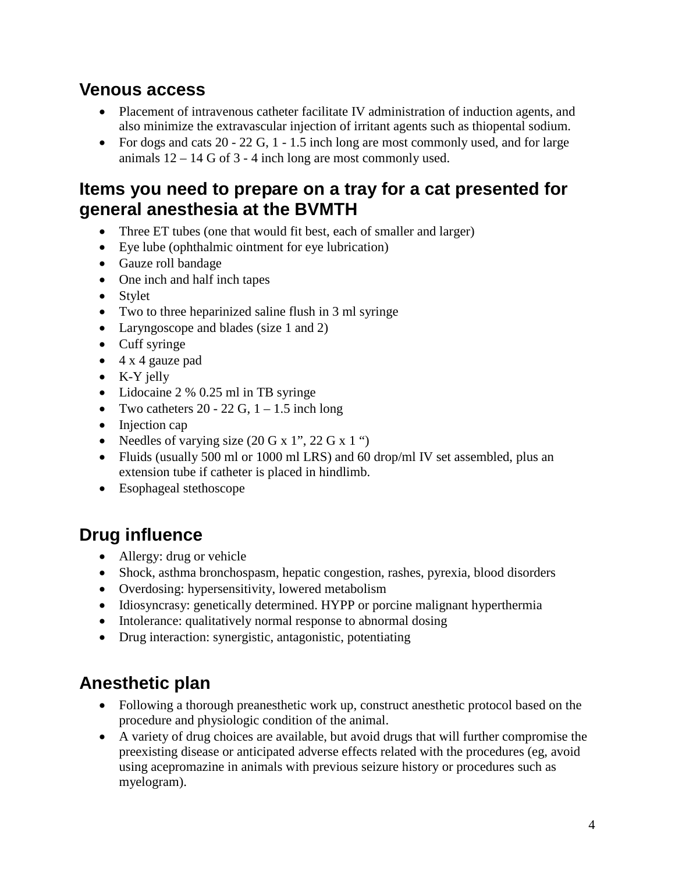## **Venous access**

- Placement of intravenous catheter facilitate IV administration of induction agents, and also minimize the extravascular injection of irritant agents such as thiopental sodium.
- For dogs and cats  $20 22$  G,  $1 1.5$  inch long are most commonly used, and for large animals  $12 - 14$  G of 3 - 4 inch long are most commonly used.

# **Items you need to prepare on a tray for a cat presented for general anesthesia at the BVMTH**

- Three ET tubes (one that would fit best, each of smaller and larger)
- Eye lube (ophthalmic ointment for eye lubrication)
- Gauze roll bandage
- One inch and half inch tapes
- Stylet
- Two to three heparinized saline flush in 3 ml syringe
- Laryngoscope and blades (size 1 and 2)
- Cuff syringe
- 4 x 4 gauze pad
- K-Y jelly
- Lidocaine 2 % 0.25 ml in TB syringe
- Two catheters  $20 22$  G,  $1 1.5$  inch long
- Injection cap
- Needles of varying size  $(20 \text{ G x 1}^{\prime\prime}, 22 \text{ G x 1}^{\prime\prime})$
- Fluids (usually 500 ml or 1000 ml LRS) and 60 drop/ml IV set assembled, plus an extension tube if catheter is placed in hindlimb.
- Esophageal stethoscope

# **Drug influence**

- Allergy: drug or vehicle
- Shock, asthma bronchospasm, hepatic congestion, rashes, pyrexia, blood disorders
- Overdosing: hypersensitivity, lowered metabolism
- Idiosyncrasy: genetically determined. HYPP or porcine malignant hyperthermia
- Intolerance: qualitatively normal response to abnormal dosing
- Drug interaction: synergistic, antagonistic, potentiating

# **Anesthetic plan**

- Following a thorough preanesthetic work up, construct anesthetic protocol based on the procedure and physiologic condition of the animal.
- A variety of drug choices are available, but avoid drugs that will further compromise the preexisting disease or anticipated adverse effects related with the procedures (eg, avoid using acepromazine in animals with previous seizure history or procedures such as myelogram).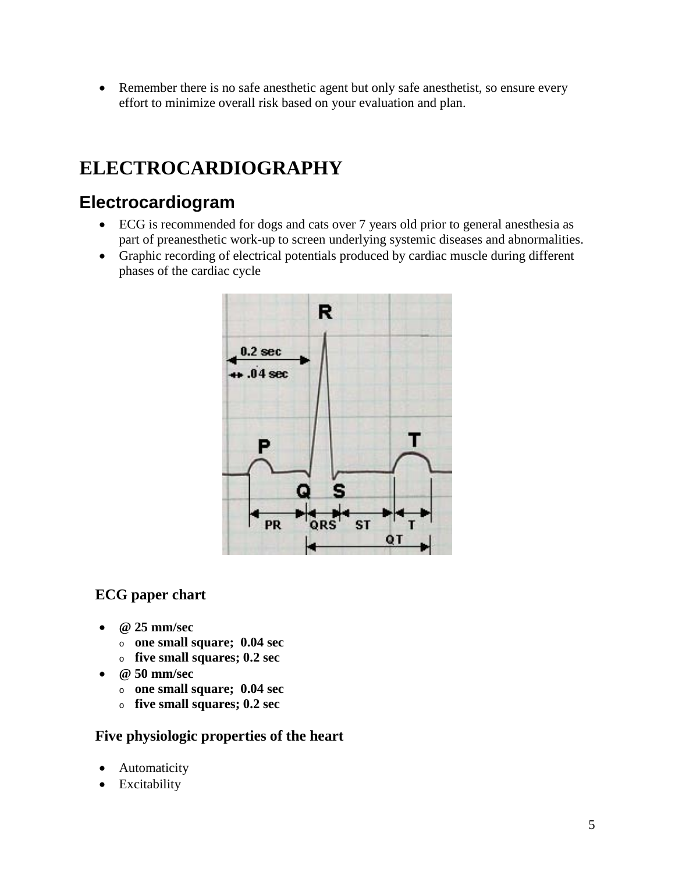• Remember there is no safe anesthetic agent but only safe anesthetist, so ensure every effort to minimize overall risk based on your evaluation and plan.

# **ELECTROCARDIOGRAPHY**

# **Electrocardiogram**

- ECG is recommended for dogs and cats over 7 years old prior to general anesthesia as part of preanesthetic work-up to screen underlying systemic diseases and abnormalities.
- Graphic recording of electrical potentials produced by cardiac muscle during different phases of the cardiac cycle



## **ECG paper chart**

- **@ 25 mm/sec**
	- <sup>o</sup> **one small square; 0.04 sec**
	- <sup>o</sup> **five small squares; 0.2 sec**
- **@ 50 mm/sec**
	- <sup>o</sup> **one small square; 0.04 sec**
	- <sup>o</sup> **five small squares; 0.2 sec**

#### **Five physiologic properties of the heart**

- Automaticity
- Excitability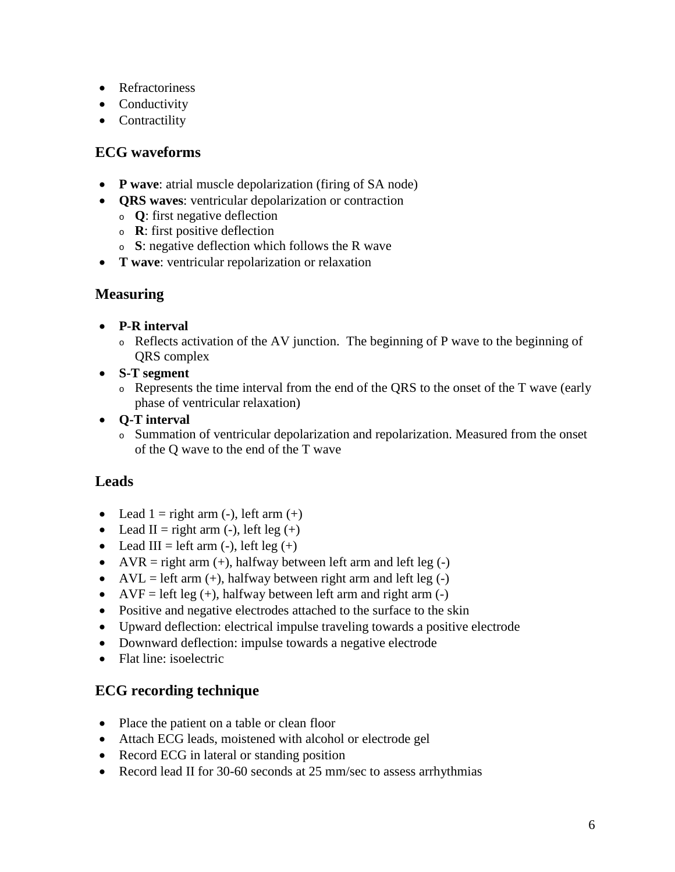- Refractoriness
- Conductivity
- Contractility

#### **ECG waveforms**

- **P wave**: atrial muscle depolarization (firing of SA node)
- **QRS waves**: ventricular depolarization or contraction
	- <sup>o</sup> **Q**: first negative deflection
	- <sup>o</sup> **R**: first positive deflection
	- <sup>o</sup> **S**: negative deflection which follows the R wave
- **T wave**: ventricular repolarization or relaxation

#### **Measuring**

- **P-R interval**
	- <sup>o</sup> Reflects activation of the AV junction. The beginning of P wave to the beginning of QRS complex
- **S-T segment**
	- <sup>o</sup> Represents the time interval from the end of the QRS to the onset of the T wave (early phase of ventricular relaxation)
- **Q-T interval**
	- <sup>o</sup> Summation of ventricular depolarization and repolarization. Measured from the onset of the Q wave to the end of the T wave

## **Leads**

- Lead  $1 =$  right arm  $(-)$ , left arm  $(+)$
- Lead II = right arm (-), left leg (+)
- Lead III = left arm (-), left leg (+)
- AVR = right arm  $(+)$ , halfway between left arm and left leg  $(-)$
- AVL = left arm  $(+)$ , halfway between right arm and left leg  $(-)$
- AVF = left leg  $(+)$ , halfway between left arm and right arm  $(-)$
- Positive and negative electrodes attached to the surface to the skin
- Upward deflection: electrical impulse traveling towards a positive electrode
- Downward deflection: impulse towards a negative electrode
- Flat line: isoelectric

## **ECG recording technique**

- Place the patient on a table or clean floor
- Attach ECG leads, moistened with alcohol or electrode gel
- Record ECG in lateral or standing position
- Record lead II for 30-60 seconds at 25 mm/sec to assess arrhythmias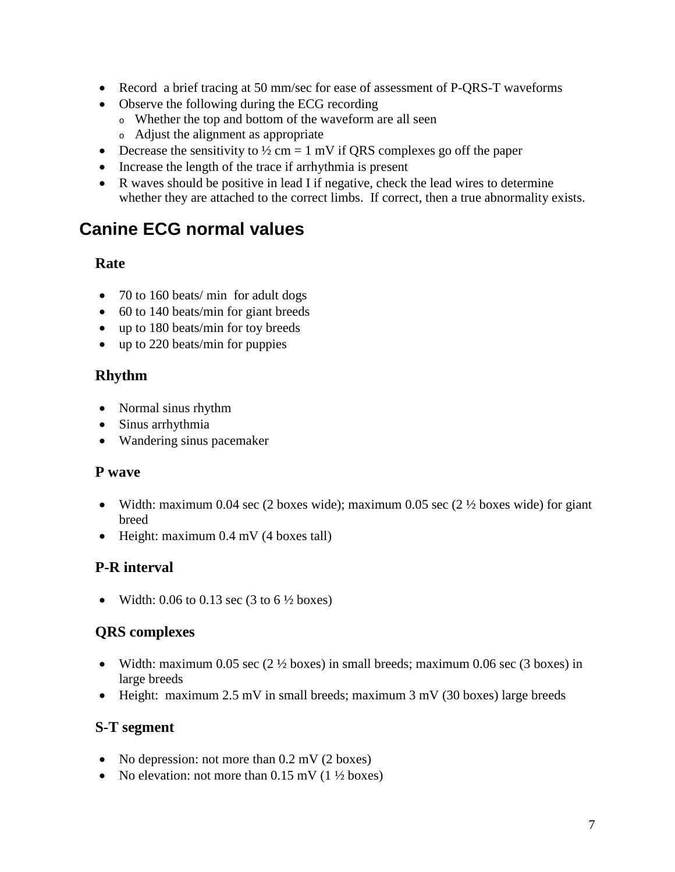- Record a brief tracing at 50 mm/sec for ease of assessment of P-QRS-T waveforms
- Observe the following during the ECG recording
	- <sup>o</sup> Whether the top and bottom of the waveform are all seen
	- <sup>o</sup> Adjust the alignment as appropriate
- Decrease the sensitivity to  $\frac{1}{2}$  cm = 1 mV if QRS complexes go off the paper
- Increase the length of the trace if arrhythmia is present
- R waves should be positive in lead I if negative, check the lead wires to determine whether they are attached to the correct limbs. If correct, then a true abnormality exists.

## **Canine ECG normal values**

#### **Rate**

- 70 to 160 beats/ min for adult dogs
- 60 to 140 beats/min for giant breeds
- up to 180 beats/min for toy breeds
- up to 220 beats/min for puppies

#### **Rhythm**

- Normal sinus rhythm
- Sinus arrhythmia
- Wandering sinus pacemaker

#### **P wave**

- Width: maximum 0.04 sec (2 boxes wide); maximum 0.05 sec (2  $\frac{1}{2}$  boxes wide) for giant breed
- Height: maximum 0.4 mV (4 boxes tall)

#### **P-R interval**

• Width:  $0.06$  to  $0.13$  sec (3 to  $6\frac{1}{2}$  boxes)

#### **QRS complexes**

- Width: maximum 0.05 sec  $(2 \frac{1}{2} \text{ boxes})$  in small breeds; maximum 0.06 sec  $(3 \text{ boxes})$  in large breeds
- Height: maximum 2.5 mV in small breeds; maximum 3 mV (30 boxes) large breeds

#### **S-T segment**

- No depression: not more than 0.2 mV (2 boxes)
- No elevation: not more than  $0.15$  mV ( $1\frac{1}{2}$  boxes)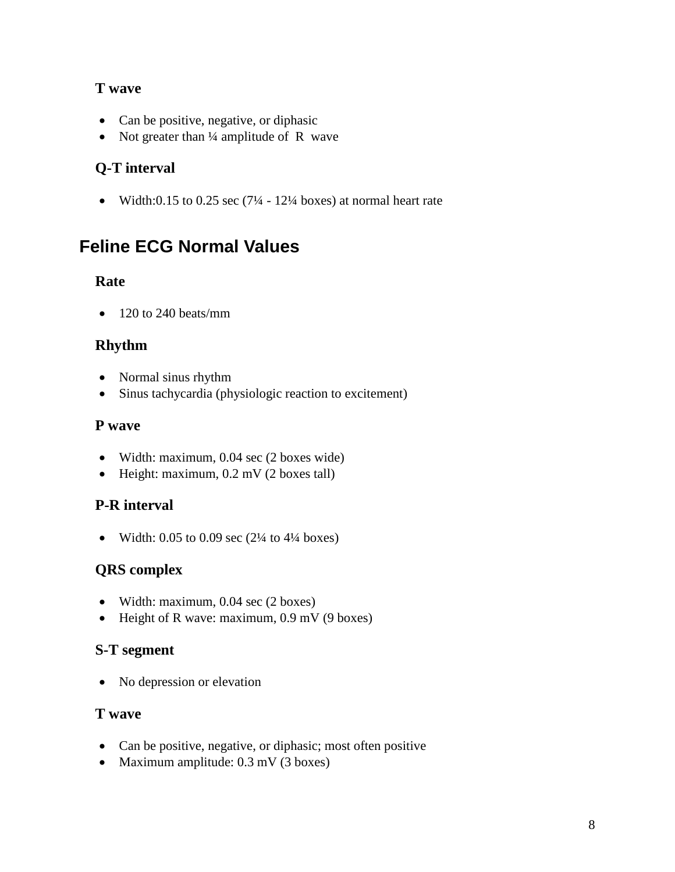## **T wave**

- Can be positive, negative, or diphasic
- Not greater than 1/4 amplitude of R wave

## **Q-T interval**

• Width:0.15 to 0.25 sec  $(7\frac{1}{4} - 12\frac{1}{4}$  boxes) at normal heart rate

# **Feline ECG Normal Values**

#### **Rate**

• 120 to 240 beats/mm

## **Rhythm**

- Normal sinus rhythm
- Sinus tachycardia (physiologic reaction to excitement)

## **P wave**

- Width: maximum, 0.04 sec (2 boxes wide)
- Height: maximum, 0.2 mV (2 boxes tall)

## **P-R interval**

• Width:  $0.05$  to  $0.09$  sec  $(2\frac{1}{4}$  to  $4\frac{1}{4}$  boxes)

## **QRS complex**

- Width: maximum, 0.04 sec (2 boxes)
- Height of R wave: maximum, 0.9 mV (9 boxes)

## **S-T segment**

• No depression or elevation

#### **T wave**

- Can be positive, negative, or diphasic; most often positive
- Maximum amplitude: 0.3 mV (3 boxes)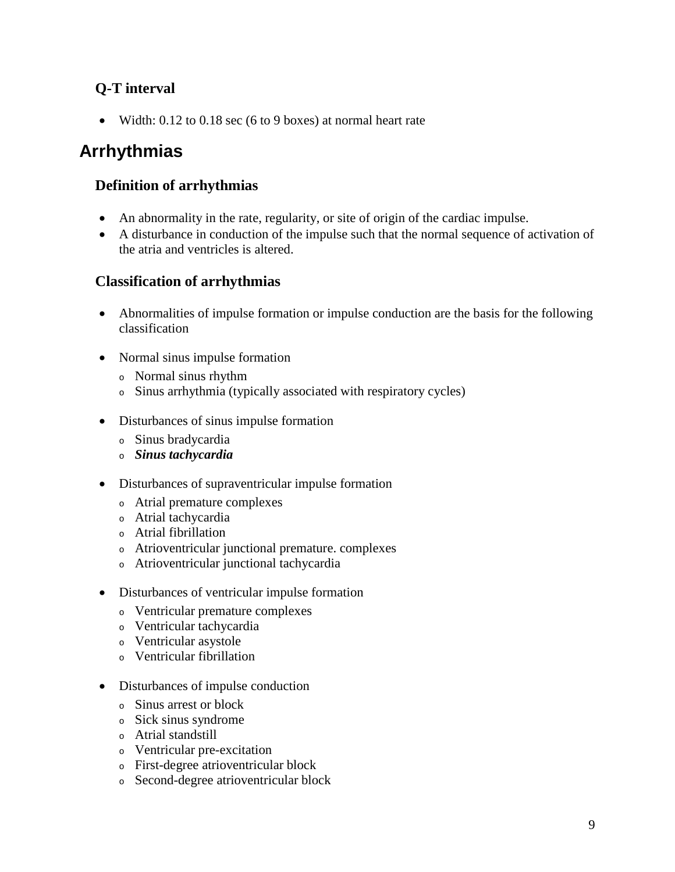## **Q-T interval**

• Width: 0.12 to 0.18 sec (6 to 9 boxes) at normal heart rate

# **Arrhythmias**

### **Definition of arrhythmias**

- An abnormality in the rate, regularity, or site of origin of the cardiac impulse.
- A disturbance in conduction of the impulse such that the normal sequence of activation of the atria and ventricles is altered.

#### **Classification of arrhythmias**

- Abnormalities of impulse formation or impulse conduction are the basis for the following classification
- Normal sinus impulse formation
	- <sup>o</sup> Normal sinus rhythm
	- <sup>o</sup> Sinus arrhythmia (typically associated with respiratory cycles)
- Disturbances of sinus impulse formation
	- <sup>o</sup> Sinus bradycardia
	- <sup>o</sup> *Sinus tachycardia*
- Disturbances of supraventricular impulse formation
	- <sup>o</sup> Atrial premature complexes
	- <sup>o</sup> Atrial tachycardia
	- <sup>o</sup> Atrial fibrillation
	- <sup>o</sup> Atrioventricular junctional premature. complexes
	- <sup>o</sup> Atrioventricular junctional tachycardia
- Disturbances of ventricular impulse formation
	- <sup>o</sup> Ventricular premature complexes
	- <sup>o</sup> Ventricular tachycardia
	- <sup>o</sup> Ventricular asystole
	- <sup>o</sup> Ventricular fibrillation
- Disturbances of impulse conduction
	- <sup>o</sup> Sinus arrest or block
	- <sup>o</sup> Sick sinus syndrome
	- <sup>o</sup> Atrial standstill
	- <sup>o</sup> Ventricular pre-excitation
	- <sup>o</sup> First-degree atrioventricular block
	- <sup>o</sup> Second-degree atrioventricular block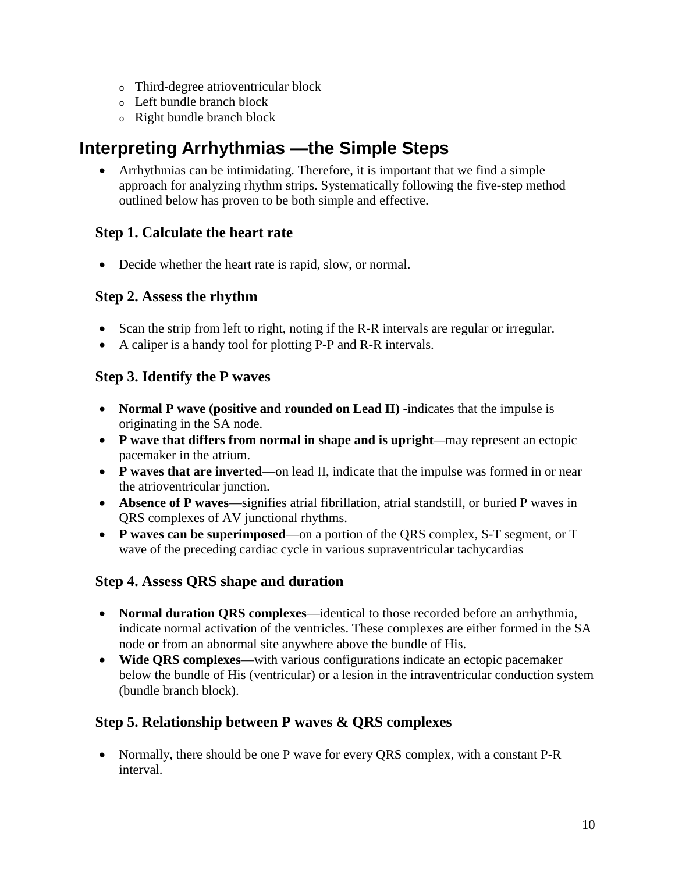- <sup>o</sup> Third-degree atrioventricular block
- <sup>o</sup> Left bundle branch block
- <sup>o</sup> Right bundle branch block

# **Interpreting Arrhythmias —the Simple Steps**

• Arrhythmias can be intimidating. Therefore, it is important that we find a simple approach for analyzing rhythm strips. Systematically following the five-step method outlined below has proven to be both simple and effective.

## **Step 1. Calculate the heart rate**

• Decide whether the heart rate is rapid, slow, or normal.

#### **Step 2. Assess the rhythm**

- Scan the strip from left to right, noting if the R-R intervals are regular or irregular.
- A caliper is a handy tool for plotting P-P and R-R intervals.

## **Step 3. Identify the P waves**

- **Normal P wave (positive and rounded on Lead II)** -indicates that the impulse is originating in the SA node.
- **P wave that differs from normal in shape and is upright***—*may represent an ectopic pacemaker in the atrium.
- **P waves that are inverted**—on lead II, indicate that the impulse was formed in or near the atrioventricular junction.
- **Absence of P waves**—signifies atrial fibrillation, atrial standstill, or buried P waves in QRS complexes of AV junctional rhythms.
- **P waves can be superimposed**—on a portion of the QRS complex, S-T segment, or T wave of the preceding cardiac cycle in various supraventricular tachycardias

## **Step 4. Assess QRS shape and duration**

- **Normal duration QRS complexes**—identical to those recorded before an arrhythmia, indicate normal activation of the ventricles. These complexes are either formed in the SA node or from an abnormal site anywhere above the bundle of His.
- **Wide QRS complexes**—with various configurations indicate an ectopic pacemaker below the bundle of His (ventricular) or a lesion in the intraventricular conduction system (bundle branch block).

## **Step 5. Relationship between P waves & QRS complexes**

• Normally, there should be one P wave for every QRS complex, with a constant P-R interval.